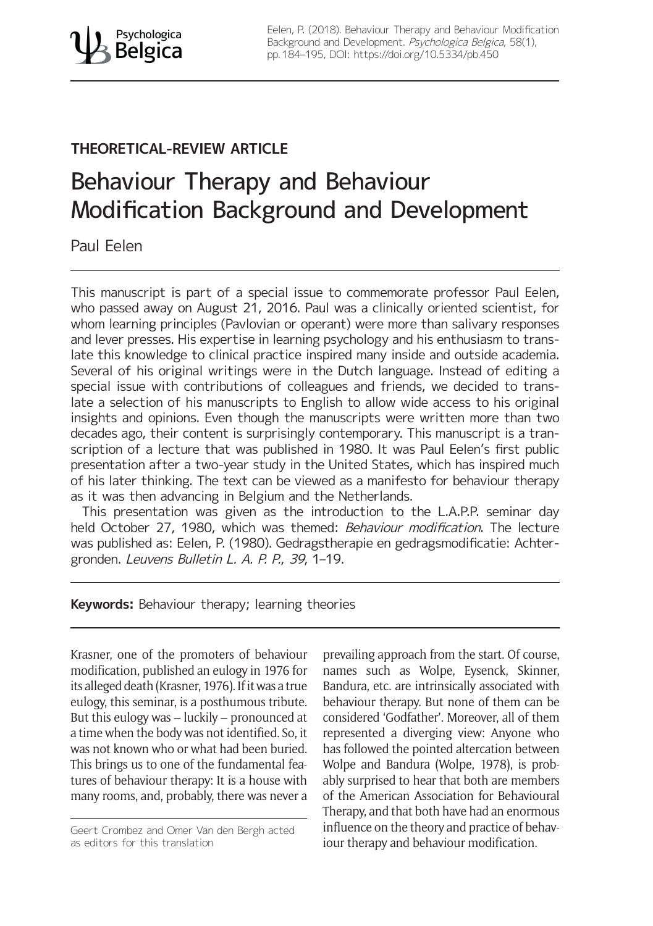# **THEORETICAL-REVIEW ARTICLE**

# Behaviour Therapy and Behaviour Modification Background and Development

Paul Eelen

This manuscript is part of a special issue to commemorate professor Paul Eelen, who passed away on August 21, 2016. Paul was a clinically oriented scientist, for whom learning principles (Pavlovian or operant) were more than salivary responses and lever presses. His expertise in learning psychology and his enthusiasm to translate this knowledge to clinical practice inspired many inside and outside academia. Several of his original writings were in the Dutch language. Instead of editing a special issue with contributions of colleagues and friends, we decided to translate a selection of his manuscripts to English to allow wide access to his original insights and opinions. Even though the manuscripts were written more than two decades ago, their content is surprisingly contemporary. This manuscript is a transcription of a lecture that was published in 1980. It was Paul Eelen's first public presentation after a two-year study in the United States, which has inspired much of his later thinking. The text can be viewed as a manifesto for behaviour therapy as it was then advancing in Belgium and the Netherlands.

This presentation was given as the introduction to the L.A.P.P. seminar day held October 27, 1980, which was themed: Behaviour modification. The lecture was published as: Eelen, P. (1980). Gedragstherapie en gedragsmodificatie: Achtergronden. Leuvens Bulletin L. A. P. P., 39, 1–19.

# **Keywords:** Behaviour therapy; learning theories

Krasner, one of the promoters of behaviour modification, published an eulogy in 1976 for its alleged death (Krasner, 1976). If it was a true eulogy, this seminar, is a posthumous tribute. But this eulogy was – luckily – pronounced at a time when the body was not identified. So, it was not known who or what had been buried. This brings us to one of the fundamental features of behaviour therapy: It is a house with many rooms, and, probably, there was never a prevailing approach from the start. Of course, names such as Wolpe, Eysenck, Skinner, Bandura, etc. are intrinsically associated with behaviour therapy. But none of them can be considered 'Godfather'. Moreover, all of them represented a diverging view: Anyone who has followed the pointed altercation between Wolpe and Bandura (Wolpe, 1978), is probably surprised to hear that both are members of the American Association for Behavioural Therapy, and that both have had an enormous influence on the theory and practice of behaviour therapy and behaviour modification.

Geert Crombez and Omer Van den Bergh acted as editors for this translation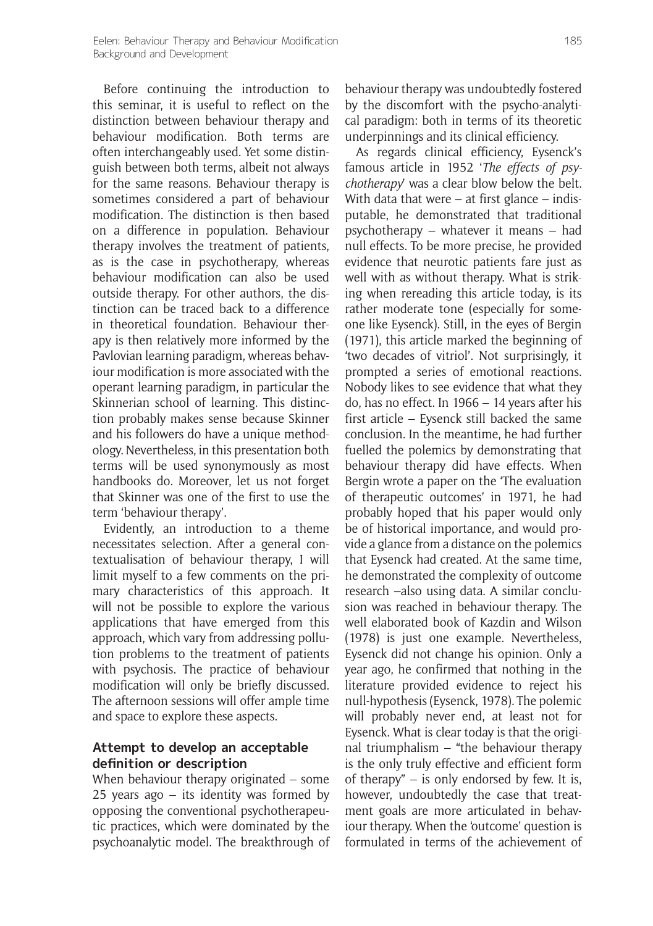Before continuing the introduction to this seminar, it is useful to reflect on the distinction between behaviour therapy and behaviour modification. Both terms are often interchangeably used. Yet some distinguish between both terms, albeit not always for the same reasons. Behaviour therapy is sometimes considered a part of behaviour modification. The distinction is then based on a difference in population. Behaviour therapy involves the treatment of patients, as is the case in psychotherapy, whereas behaviour modification can also be used outside therapy. For other authors, the distinction can be traced back to a difference in theoretical foundation. Behaviour therapy is then relatively more informed by the Pavlovian learning paradigm, whereas behaviour modification is more associated with the operant learning paradigm, in particular the Skinnerian school of learning. This distinction probably makes sense because Skinner and his followers do have a unique methodology. Nevertheless, in this presentation both terms will be used synonymously as most handbooks do. Moreover, let us not forget that Skinner was one of the first to use the term 'behaviour therapy'.

Evidently, an introduction to a theme necessitates selection. After a general contextualisation of behaviour therapy, I will limit myself to a few comments on the primary characteristics of this approach. It will not be possible to explore the various applications that have emerged from this approach, which vary from addressing pollution problems to the treatment of patients with psychosis. The practice of behaviour modification will only be briefly discussed. The afternoon sessions will offer ample time and space to explore these aspects.

# **Attempt to develop an acceptable definition or description**

When behaviour therapy originated – some 25 years ago – its identity was formed by opposing the conventional psychotherapeutic practices, which were dominated by the psychoanalytic model. The breakthrough of behaviour therapy was undoubtedly fostered by the discomfort with the psycho-analytical paradigm: both in terms of its theoretic underpinnings and its clinical efficiency.

As regards clinical efficiency, Eysenck's famous article in 1952 '*The effects of psychotherapy*' was a clear blow below the belt. With data that were  $-$  at first glance  $-$  indisputable, he demonstrated that traditional psychotherapy – whatever it means – had null effects. To be more precise, he provided evidence that neurotic patients fare just as well with as without therapy. What is striking when rereading this article today, is its rather moderate tone (especially for someone like Eysenck). Still, in the eyes of Bergin (1971), this article marked the beginning of 'two decades of vitriol'. Not surprisingly, it prompted a series of emotional reactions. Nobody likes to see evidence that what they do, has no effect. In 1966 – 14 years after his first article – Eysenck still backed the same conclusion. In the meantime, he had further fuelled the polemics by demonstrating that behaviour therapy did have effects. When Bergin wrote a paper on the 'The evaluation of therapeutic outcomes' in 1971, he had probably hoped that his paper would only be of historical importance, and would provide a glance from a distance on the polemics that Eysenck had created. At the same time, he demonstrated the complexity of outcome research –also using data. A similar conclusion was reached in behaviour therapy. The well elaborated book of Kazdin and Wilson (1978) is just one example. Nevertheless, Eysenck did not change his opinion. Only a year ago, he confirmed that nothing in the literature provided evidence to reject his null-hypothesis (Eysenck, 1978). The polemic will probably never end, at least not for Eysenck. What is clear today is that the original triumphalism  $-$  "the behaviour therapy is the only truly effective and efficient form of therapy" – is only endorsed by few. It is, however, undoubtedly the case that treatment goals are more articulated in behaviour therapy. When the 'outcome' question is formulated in terms of the achievement of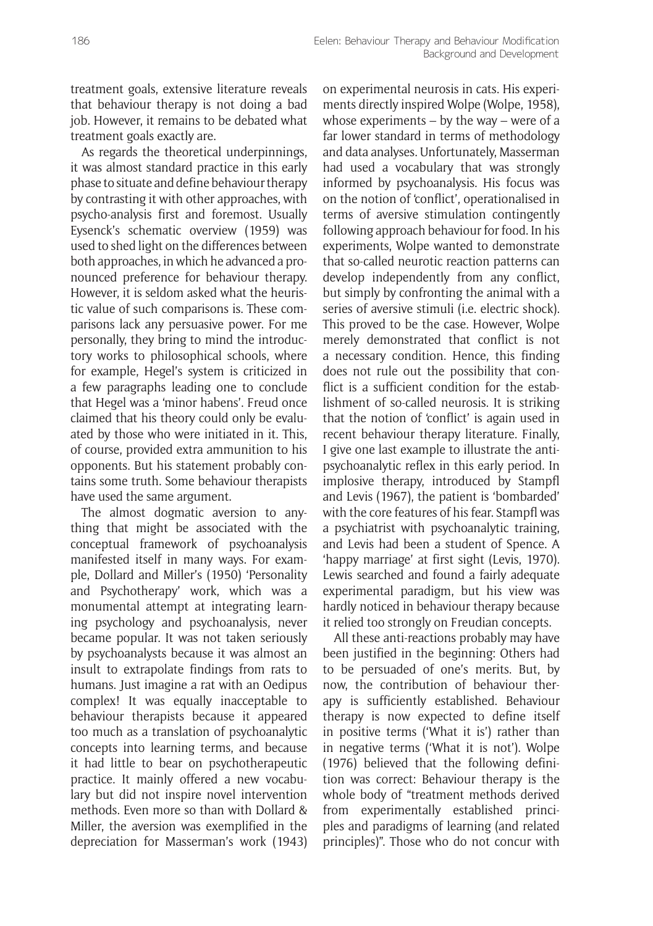treatment goals, extensive literature reveals that behaviour therapy is not doing a bad job. However, it remains to be debated what treatment goals exactly are.

As regards the theoretical underpinnings, it was almost standard practice in this early phase to situate and define behaviour therapy by contrasting it with other approaches, with psycho-analysis first and foremost. Usually Eysenck's schematic overview (1959) was used to shed light on the differences between both approaches, in which he advanced a pronounced preference for behaviour therapy. However, it is seldom asked what the heuristic value of such comparisons is. These comparisons lack any persuasive power. For me personally, they bring to mind the introductory works to philosophical schools, where for example, Hegel's system is criticized in a few paragraphs leading one to conclude that Hegel was a 'minor habens'. Freud once claimed that his theory could only be evaluated by those who were initiated in it. This, of course, provided extra ammunition to his opponents. But his statement probably contains some truth. Some behaviour therapists have used the same argument.

The almost dogmatic aversion to anything that might be associated with the conceptual framework of psychoanalysis manifested itself in many ways. For example, Dollard and Miller's (1950) 'Personality and Psychotherapy' work, which was a monumental attempt at integrating learning psychology and psychoanalysis, never became popular. It was not taken seriously by psychoanalysts because it was almost an insult to extrapolate findings from rats to humans. Just imagine a rat with an Oedipus complex! It was equally inacceptable to behaviour therapists because it appeared too much as a translation of psychoanalytic concepts into learning terms, and because it had little to bear on psychotherapeutic practice. It mainly offered a new vocabulary but did not inspire novel intervention methods. Even more so than with Dollard & Miller, the aversion was exemplified in the depreciation for Masserman's work (1943) on experimental neurosis in cats. His experiments directly inspired Wolpe (Wolpe, 1958), whose experiments – by the way – were of a far lower standard in terms of methodology and data analyses. Unfortunately, Masserman had used a vocabulary that was strongly informed by psychoanalysis. His focus was on the notion of 'conflict', operationalised in terms of aversive stimulation contingently following approach behaviour for food. In his experiments, Wolpe wanted to demonstrate that so-called neurotic reaction patterns can develop independently from any conflict, but simply by confronting the animal with a series of aversive stimuli (i.e. electric shock). This proved to be the case. However, Wolpe merely demonstrated that conflict is not a necessary condition. Hence, this finding does not rule out the possibility that conflict is a sufficient condition for the establishment of so-called neurosis. It is striking that the notion of 'conflict' is again used in recent behaviour therapy literature. Finally, I give one last example to illustrate the antipsychoanalytic reflex in this early period. In implosive therapy, introduced by Stampfl and Levis (1967), the patient is 'bombarded' with the core features of his fear. Stampfl was a psychiatrist with psychoanalytic training, and Levis had been a student of Spence. A 'happy marriage' at first sight (Levis, 1970). Lewis searched and found a fairly adequate experimental paradigm, but his view was hardly noticed in behaviour therapy because it relied too strongly on Freudian concepts.

All these anti-reactions probably may have been justified in the beginning: Others had to be persuaded of one's merits. But, by now, the contribution of behaviour therapy is sufficiently established. Behaviour therapy is now expected to define itself in positive terms ('What it is') rather than in negative terms ('What it is not'). Wolpe (1976) believed that the following definition was correct: Behaviour therapy is the whole body of "treatment methods derived from experimentally established principles and paradigms of learning (and related principles)". Those who do not concur with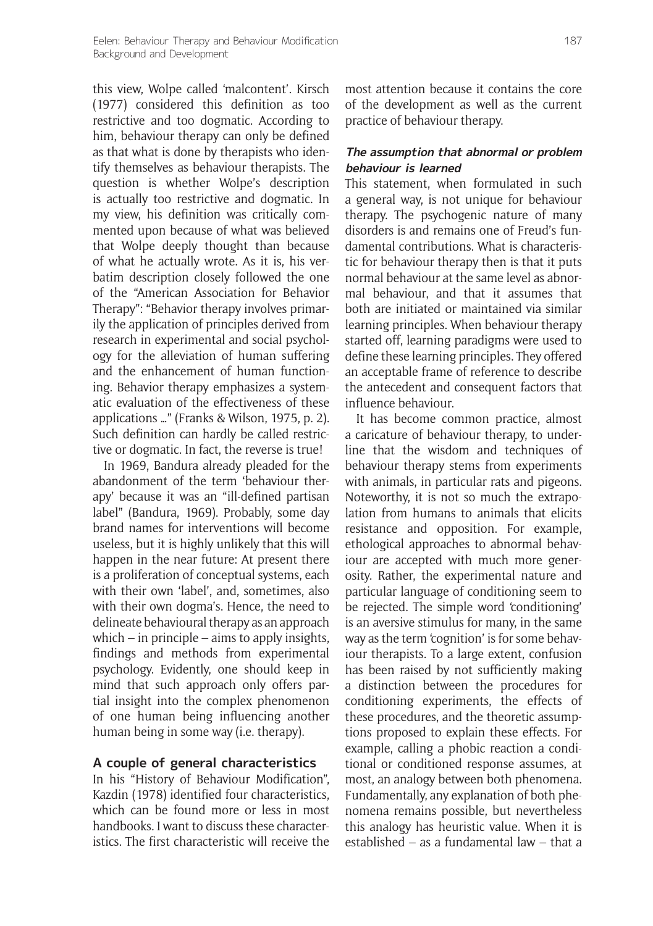this view, Wolpe called 'malcontent'. Kirsch (1977) considered this definition as too restrictive and too dogmatic. According to him, behaviour therapy can only be defined as that what is done by therapists who identify themselves as behaviour therapists. The question is whether Wolpe's description is actually too restrictive and dogmatic. In my view, his definition was critically commented upon because of what was believed that Wolpe deeply thought than because of what he actually wrote. As it is, his verbatim description closely followed the one of the "American Association for Behavior Therapy": "Behavior therapy involves primarily the application of principles derived from research in experimental and social psychology for the alleviation of human suffering and the enhancement of human functioning. Behavior therapy emphasizes a systematic evaluation of the effectiveness of these applications …" (Franks & Wilson, 1975, p. 2). Such definition can hardly be called restrictive or dogmatic. In fact, the reverse is true!

In 1969, Bandura already pleaded for the abandonment of the term 'behaviour therapy' because it was an "ill-defined partisan label" (Bandura, 1969). Probably, some day brand names for interventions will become useless, but it is highly unlikely that this will happen in the near future: At present there is a proliferation of conceptual systems, each with their own 'label', and, sometimes, also with their own dogma's. Hence, the need to delineate behavioural therapy as an approach which – in principle – aims to apply insights, findings and methods from experimental psychology. Evidently, one should keep in mind that such approach only offers partial insight into the complex phenomenon of one human being influencing another human being in some way (i.e. therapy).

# **A couple of general characteristics**

In his "History of Behaviour Modification", Kazdin (1978) identified four characteristics, which can be found more or less in most handbooks. I want to discuss these characteristics. The first characteristic will receive the

most attention because it contains the core of the development as well as the current practice of behaviour therapy.

#### **The assumption that abnormal or problem behaviour is learned**

This statement, when formulated in such a general way, is not unique for behaviour therapy. The psychogenic nature of many disorders is and remains one of Freud's fundamental contributions. What is characteristic for behaviour therapy then is that it puts normal behaviour at the same level as abnormal behaviour, and that it assumes that both are initiated or maintained via similar learning principles. When behaviour therapy started off, learning paradigms were used to define these learning principles. They offered an acceptable frame of reference to describe the antecedent and consequent factors that influence behaviour.

It has become common practice, almost a caricature of behaviour therapy, to underline that the wisdom and techniques of behaviour therapy stems from experiments with animals, in particular rats and pigeons. Noteworthy, it is not so much the extrapolation from humans to animals that elicits resistance and opposition. For example, ethological approaches to abnormal behaviour are accepted with much more generosity. Rather, the experimental nature and particular language of conditioning seem to be rejected. The simple word 'conditioning' is an aversive stimulus for many, in the same way as the term 'cognition' is for some behaviour therapists. To a large extent, confusion has been raised by not sufficiently making a distinction between the procedures for conditioning experiments, the effects of these procedures, and the theoretic assumptions proposed to explain these effects. For example, calling a phobic reaction a conditional or conditioned response assumes, at most, an analogy between both phenomena. Fundamentally, any explanation of both phenomena remains possible, but nevertheless this analogy has heuristic value. When it is established – as a fundamental law – that a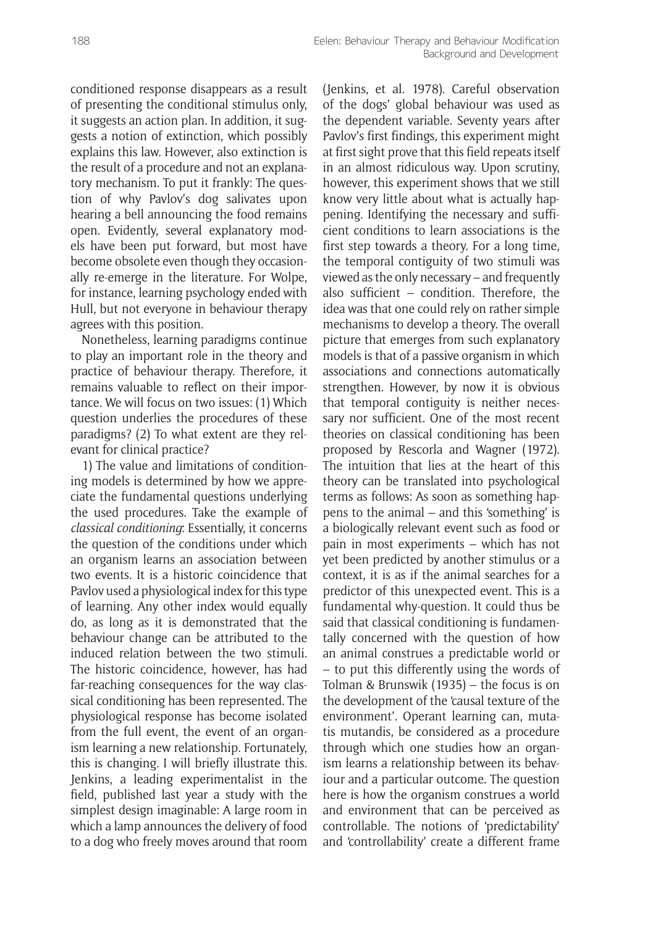conditioned response disappears as a result of presenting the conditional stimulus only, it suggests an action plan. In addition, it suggests a notion of extinction, which possibly explains this law. However, also extinction is the result of a procedure and not an explanatory mechanism. To put it frankly: The question of why Pavlov's dog salivates upon hearing a bell announcing the food remains open. Evidently, several explanatory models have been put forward, but most have become obsolete even though they occasionally re-emerge in the literature. For Wolpe, for instance, learning psychology ended with Hull, but not everyone in behaviour therapy agrees with this position.

Nonetheless, learning paradigms continue to play an important role in the theory and practice of behaviour therapy. Therefore, it remains valuable to reflect on their importance. We will focus on two issues: (1) Which question underlies the procedures of these paradigms? (2) To what extent are they relevant for clinical practice?

1) The value and limitations of conditioning models is determined by how we appreciate the fundamental questions underlying the used procedures. Take the example of *classical conditioning*: Essentially, it concerns the question of the conditions under which an organism learns an association between two events. It is a historic coincidence that Pavlov used a physiological index for this type of learning. Any other index would equally do, as long as it is demonstrated that the behaviour change can be attributed to the induced relation between the two stimuli. The historic coincidence, however, has had far-reaching consequences for the way classical conditioning has been represented. The physiological response has become isolated from the full event, the event of an organism learning a new relationship. Fortunately, this is changing. I will briefly illustrate this. Jenkins, a leading experimentalist in the field, published last year a study with the simplest design imaginable: A large room in which a lamp announces the delivery of food to a dog who freely moves around that room (Jenkins, et al. 1978). Careful observation of the dogs' global behaviour was used as the dependent variable. Seventy years after Pavlov's first findings, this experiment might at first sight prove that this field repeats itself in an almost ridiculous way. Upon scrutiny, however, this experiment shows that we still know very little about what is actually happening. Identifying the necessary and sufficient conditions to learn associations is the first step towards a theory. For a long time, the temporal contiguity of two stimuli was viewed as the only necessary – and frequently also sufficient – condition. Therefore, the idea was that one could rely on rather simple mechanisms to develop a theory. The overall picture that emerges from such explanatory models is that of a passive organism in which associations and connections automatically strengthen. However, by now it is obvious that temporal contiguity is neither necessary nor sufficient. One of the most recent theories on classical conditioning has been proposed by Rescorla and Wagner (1972). The intuition that lies at the heart of this theory can be translated into psychological terms as follows: As soon as something happens to the animal – and this 'something' is a biologically relevant event such as food or pain in most experiments – which has not yet been predicted by another stimulus or a context, it is as if the animal searches for a predictor of this unexpected event. This is a fundamental why-question. It could thus be said that classical conditioning is fundamentally concerned with the question of how an animal construes a predictable world or – to put this differently using the words of Tolman & Brunswik (1935) – the focus is on the development of the 'causal texture of the environment'. Operant learning can, mutatis mutandis, be considered as a procedure through which one studies how an organism learns a relationship between its behaviour and a particular outcome. The question here is how the organism construes a world and environment that can be perceived as controllable. The notions of 'predictability' and 'controllability' create a different frame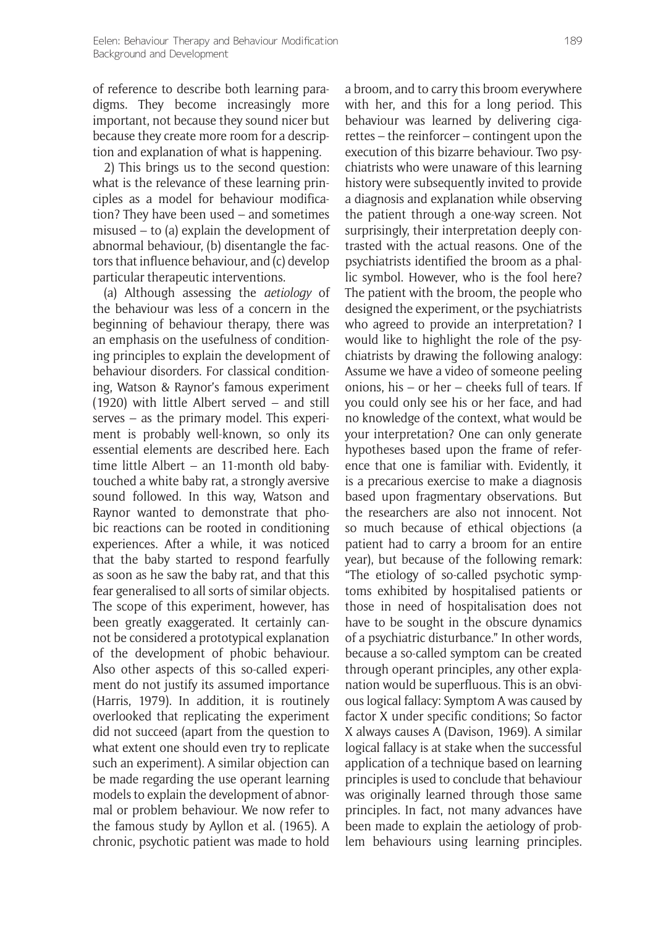of reference to describe both learning paradigms. They become increasingly more important, not because they sound nicer but because they create more room for a description and explanation of what is happening.

2) This brings us to the second question: what is the relevance of these learning principles as a model for behaviour modification? They have been used – and sometimes misused – to (a) explain the development of abnormal behaviour, (b) disentangle the factors that influence behaviour, and (c) develop particular therapeutic interventions.

(a) Although assessing the *aetiology* of the behaviour was less of a concern in the beginning of behaviour therapy, there was an emphasis on the usefulness of conditioning principles to explain the development of behaviour disorders. For classical conditioning, Watson & Raynor's famous experiment (1920) with little Albert served – and still serves – as the primary model. This experiment is probably well-known, so only its essential elements are described here. Each time little Albert – an 11-month old babytouched a white baby rat, a strongly aversive sound followed. In this way, Watson and Raynor wanted to demonstrate that phobic reactions can be rooted in conditioning experiences. After a while, it was noticed that the baby started to respond fearfully as soon as he saw the baby rat, and that this fear generalised to all sorts of similar objects. The scope of this experiment, however, has been greatly exaggerated. It certainly cannot be considered a prototypical explanation of the development of phobic behaviour. Also other aspects of this so-called experiment do not justify its assumed importance (Harris, 1979). In addition, it is routinely overlooked that replicating the experiment did not succeed (apart from the question to what extent one should even try to replicate such an experiment). A similar objection can be made regarding the use operant learning models to explain the development of abnormal or problem behaviour. We now refer to the famous study by Ayllon et al. (1965). A chronic, psychotic patient was made to hold

a broom, and to carry this broom everywhere with her, and this for a long period. This behaviour was learned by delivering cigarettes – the reinforcer – contingent upon the execution of this bizarre behaviour. Two psychiatrists who were unaware of this learning history were subsequently invited to provide a diagnosis and explanation while observing the patient through a one-way screen. Not surprisingly, their interpretation deeply contrasted with the actual reasons. One of the psychiatrists identified the broom as a phallic symbol. However, who is the fool here? The patient with the broom, the people who designed the experiment, or the psychiatrists who agreed to provide an interpretation? I would like to highlight the role of the psychiatrists by drawing the following analogy: Assume we have a video of someone peeling onions, his – or her – cheeks full of tears. If you could only see his or her face, and had no knowledge of the context, what would be your interpretation? One can only generate hypotheses based upon the frame of reference that one is familiar with. Evidently, it is a precarious exercise to make a diagnosis based upon fragmentary observations. But the researchers are also not innocent. Not so much because of ethical objections (a patient had to carry a broom for an entire year), but because of the following remark: "The etiology of so-called psychotic symptoms exhibited by hospitalised patients or those in need of hospitalisation does not have to be sought in the obscure dynamics of a psychiatric disturbance." In other words, because a so-called symptom can be created through operant principles, any other explanation would be superfluous. This is an obvious logical fallacy: Symptom A was caused by factor X under specific conditions; So factor X always causes A (Davison, 1969). A similar logical fallacy is at stake when the successful application of a technique based on learning principles is used to conclude that behaviour was originally learned through those same principles. In fact, not many advances have been made to explain the aetiology of problem behaviours using learning principles.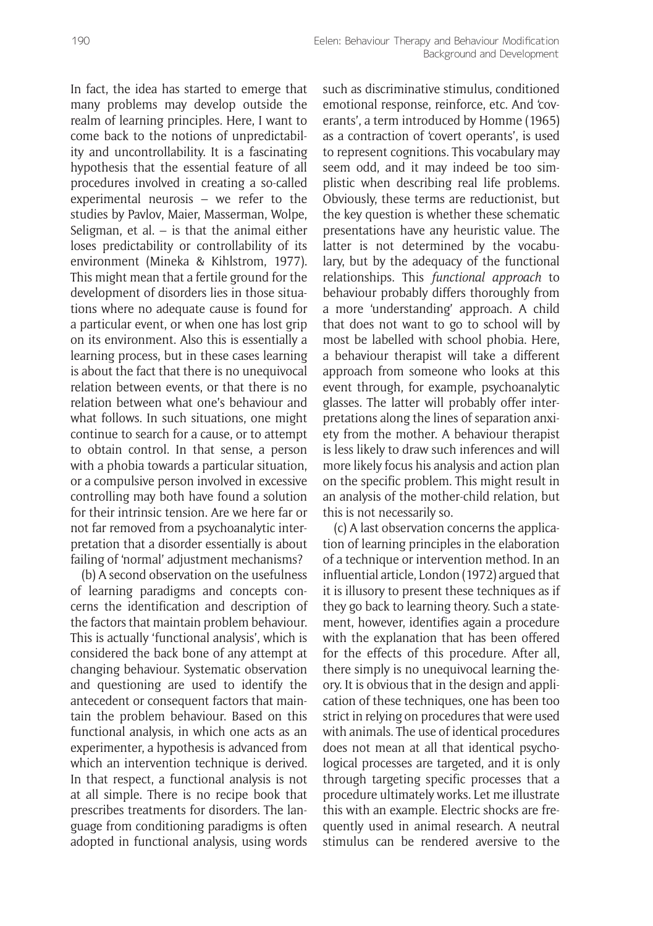In fact, the idea has started to emerge that many problems may develop outside the realm of learning principles. Here, I want to come back to the notions of unpredictability and uncontrollability. It is a fascinating hypothesis that the essential feature of all procedures involved in creating a so-called experimental neurosis – we refer to the studies by Pavlov, Maier, Masserman, Wolpe, Seligman, et al. – is that the animal either loses predictability or controllability of its environment (Mineka & Kihlstrom, 1977). This might mean that a fertile ground for the development of disorders lies in those situations where no adequate cause is found for a particular event, or when one has lost grip on its environment. Also this is essentially a learning process, but in these cases learning is about the fact that there is no unequivocal relation between events, or that there is no relation between what one's behaviour and what follows. In such situations, one might continue to search for a cause, or to attempt to obtain control. In that sense, a person with a phobia towards a particular situation, or a compulsive person involved in excessive controlling may both have found a solution for their intrinsic tension. Are we here far or not far removed from a psychoanalytic interpretation that a disorder essentially is about failing of 'normal' adjustment mechanisms?

(b) A second observation on the usefulness of learning paradigms and concepts concerns the identification and description of the factors that maintain problem behaviour. This is actually 'functional analysis', which is considered the back bone of any attempt at changing behaviour. Systematic observation and questioning are used to identify the antecedent or consequent factors that maintain the problem behaviour. Based on this functional analysis, in which one acts as an experimenter, a hypothesis is advanced from which an intervention technique is derived. In that respect, a functional analysis is not at all simple. There is no recipe book that prescribes treatments for disorders. The language from conditioning paradigms is often adopted in functional analysis, using words such as discriminative stimulus, conditioned emotional response, reinforce, etc. And 'coverants', a term introduced by Homme (1965) as a contraction of 'covert operants', is used to represent cognitions. This vocabulary may seem odd, and it may indeed be too simplistic when describing real life problems. Obviously, these terms are reductionist, but the key question is whether these schematic presentations have any heuristic value. The latter is not determined by the vocabulary, but by the adequacy of the functional relationships. This *functional approach* to behaviour probably differs thoroughly from a more 'understanding' approach. A child that does not want to go to school will by most be labelled with school phobia. Here, a behaviour therapist will take a different approach from someone who looks at this event through, for example, psychoanalytic glasses. The latter will probably offer interpretations along the lines of separation anxiety from the mother. A behaviour therapist is less likely to draw such inferences and will more likely focus his analysis and action plan on the specific problem. This might result in an analysis of the mother-child relation, but this is not necessarily so.

(c) A last observation concerns the application of learning principles in the elaboration of a technique or intervention method. In an influential article, London (1972) argued that it is illusory to present these techniques as if they go back to learning theory. Such a statement, however, identifies again a procedure with the explanation that has been offered for the effects of this procedure. After all, there simply is no unequivocal learning theory. It is obvious that in the design and application of these techniques, one has been too strict in relying on procedures that were used with animals. The use of identical procedures does not mean at all that identical psychological processes are targeted, and it is only through targeting specific processes that a procedure ultimately works. Let me illustrate this with an example. Electric shocks are frequently used in animal research. A neutral stimulus can be rendered aversive to the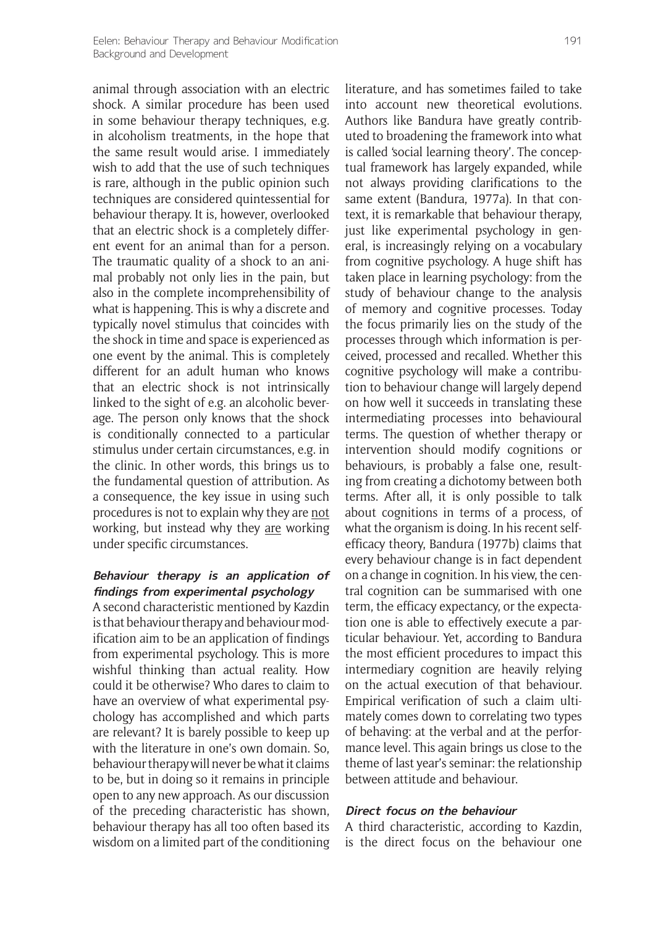animal through association with an electric shock. A similar procedure has been used in some behaviour therapy techniques, e.g. in alcoholism treatments, in the hope that the same result would arise. I immediately wish to add that the use of such techniques is rare, although in the public opinion such techniques are considered quintessential for behaviour therapy. It is, however, overlooked that an electric shock is a completely different event for an animal than for a person. The traumatic quality of a shock to an animal probably not only lies in the pain, but also in the complete incomprehensibility of what is happening. This is why a discrete and typically novel stimulus that coincides with the shock in time and space is experienced as one event by the animal. This is completely different for an adult human who knows that an electric shock is not intrinsically linked to the sight of e.g. an alcoholic beverage. The person only knows that the shock is conditionally connected to a particular stimulus under certain circumstances, e.g. in the clinic. In other words, this brings us to the fundamental question of attribution. As a consequence, the key issue in using such procedures is not to explain why they are not working, but instead why they are working under specific circumstances.

#### **Behaviour therapy is an application of findings from experimental psychology**

A second characteristic mentioned by Kazdin is that behaviour therapy and behaviour modification aim to be an application of findings from experimental psychology. This is more wishful thinking than actual reality. How could it be otherwise? Who dares to claim to have an overview of what experimental psychology has accomplished and which parts are relevant? It is barely possible to keep up with the literature in one's own domain. So, behaviour therapy will never be what it claims to be, but in doing so it remains in principle open to any new approach. As our discussion of the preceding characteristic has shown, behaviour therapy has all too often based its wisdom on a limited part of the conditioning

literature, and has sometimes failed to take into account new theoretical evolutions. Authors like Bandura have greatly contributed to broadening the framework into what is called 'social learning theory'. The conceptual framework has largely expanded, while not always providing clarifications to the same extent (Bandura, 1977a). In that context, it is remarkable that behaviour therapy, just like experimental psychology in general, is increasingly relying on a vocabulary from cognitive psychology. A huge shift has taken place in learning psychology: from the study of behaviour change to the analysis of memory and cognitive processes. Today the focus primarily lies on the study of the processes through which information is perceived, processed and recalled. Whether this cognitive psychology will make a contribution to behaviour change will largely depend on how well it succeeds in translating these intermediating processes into behavioural terms. The question of whether therapy or intervention should modify cognitions or behaviours, is probably a false one, resulting from creating a dichotomy between both terms. After all, it is only possible to talk about cognitions in terms of a process, of what the organism is doing. In his recent selfefficacy theory, Bandura (1977b) claims that every behaviour change is in fact dependent on a change in cognition. In his view, the central cognition can be summarised with one term, the efficacy expectancy, or the expectation one is able to effectively execute a particular behaviour. Yet, according to Bandura the most efficient procedures to impact this intermediary cognition are heavily relying on the actual execution of that behaviour. Empirical verification of such a claim ultimately comes down to correlating two types of behaving: at the verbal and at the performance level. This again brings us close to the theme of last year's seminar: the relationship between attitude and behaviour.

#### **Direct focus on the behaviour**

A third characteristic, according to Kazdin, is the direct focus on the behaviour one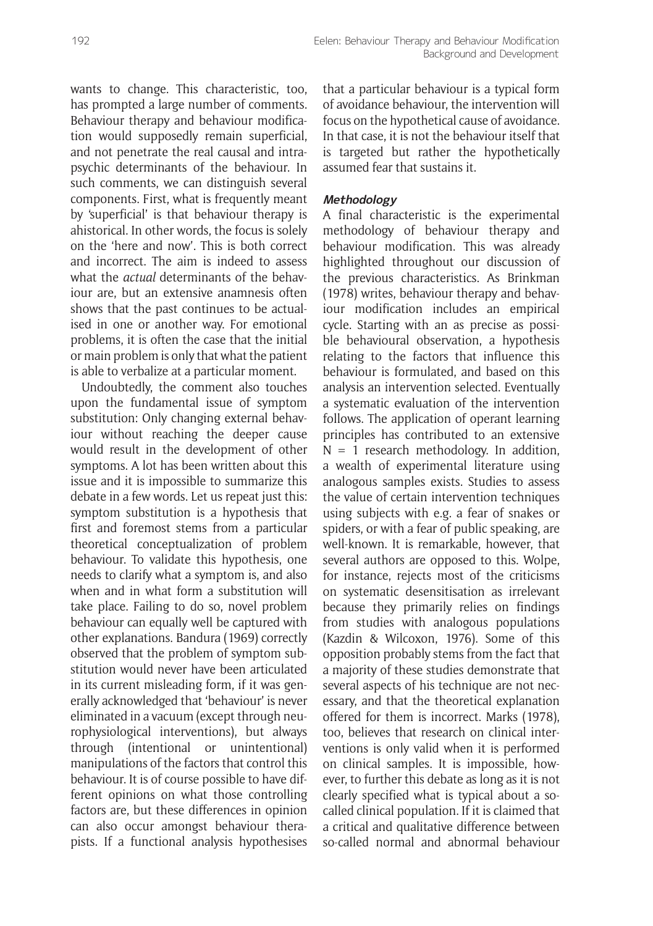wants to change. This characteristic, too, has prompted a large number of comments. Behaviour therapy and behaviour modification would supposedly remain superficial, and not penetrate the real causal and intrapsychic determinants of the behaviour. In such comments, we can distinguish several components. First, what is frequently meant by 'superficial' is that behaviour therapy is ahistorical. In other words, the focus is solely on the 'here and now'. This is both correct and incorrect. The aim is indeed to assess what the *actual* determinants of the behaviour are, but an extensive anamnesis often shows that the past continues to be actualised in one or another way. For emotional problems, it is often the case that the initial or main problem is only that what the patient is able to verbalize at a particular moment.

Undoubtedly, the comment also touches upon the fundamental issue of symptom substitution: Only changing external behaviour without reaching the deeper cause would result in the development of other symptoms. A lot has been written about this issue and it is impossible to summarize this debate in a few words. Let us repeat just this: symptom substitution is a hypothesis that first and foremost stems from a particular theoretical conceptualization of problem behaviour. To validate this hypothesis, one needs to clarify what a symptom is, and also when and in what form a substitution will take place. Failing to do so, novel problem behaviour can equally well be captured with other explanations. Bandura (1969) correctly observed that the problem of symptom substitution would never have been articulated in its current misleading form, if it was generally acknowledged that 'behaviour' is never eliminated in a vacuum (except through neurophysiological interventions), but always through (intentional or unintentional) manipulations of the factors that control this behaviour. It is of course possible to have different opinions on what those controlling factors are, but these differences in opinion can also occur amongst behaviour therapists. If a functional analysis hypothesises that a particular behaviour is a typical form of avoidance behaviour, the intervention will focus on the hypothetical cause of avoidance. In that case, it is not the behaviour itself that is targeted but rather the hypothetically assumed fear that sustains it.

# **Methodology**

A final characteristic is the experimental methodology of behaviour therapy and behaviour modification. This was already highlighted throughout our discussion of the previous characteristics. As Brinkman (1978) writes, behaviour therapy and behaviour modification includes an empirical cycle. Starting with an as precise as possible behavioural observation, a hypothesis relating to the factors that influence this behaviour is formulated, and based on this analysis an intervention selected. Eventually a systematic evaluation of the intervention follows. The application of operant learning principles has contributed to an extensive  $N = 1$  research methodology. In addition, a wealth of experimental literature using analogous samples exists. Studies to assess the value of certain intervention techniques using subjects with e.g. a fear of snakes or spiders, or with a fear of public speaking, are well-known. It is remarkable, however, that several authors are opposed to this. Wolpe, for instance, rejects most of the criticisms on systematic desensitisation as irrelevant because they primarily relies on findings from studies with analogous populations (Kazdin & Wilcoxon, 1976). Some of this opposition probably stems from the fact that a majority of these studies demonstrate that several aspects of his technique are not necessary, and that the theoretical explanation offered for them is incorrect. Marks (1978), too, believes that research on clinical interventions is only valid when it is performed on clinical samples. It is impossible, however, to further this debate as long as it is not clearly specified what is typical about a socalled clinical population. If it is claimed that a critical and qualitative difference between so-called normal and abnormal behaviour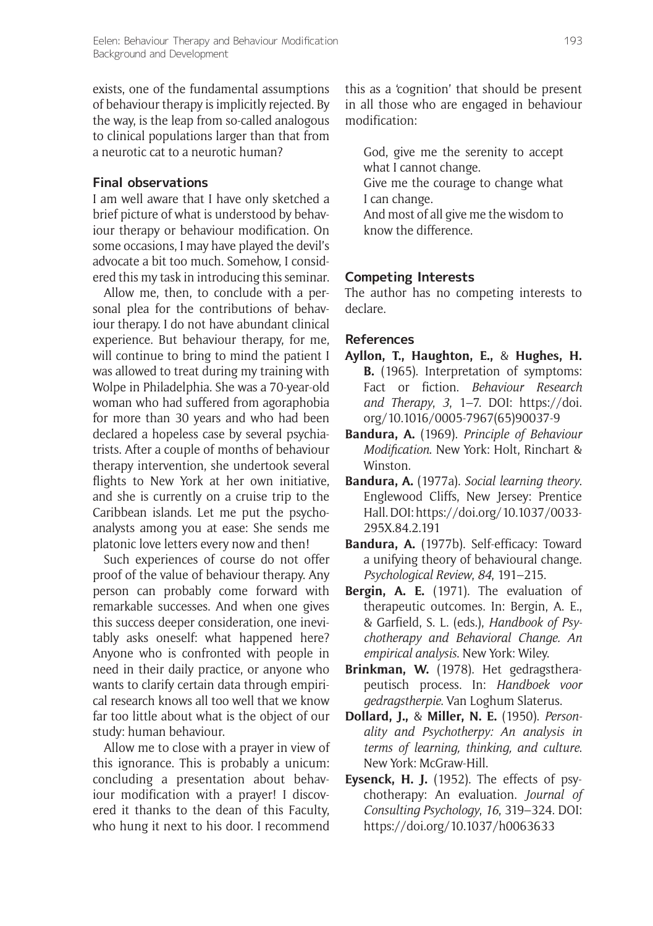exists, one of the fundamental assumptions of behaviour therapy is implicitly rejected. By the way, is the leap from so-called analogous to clinical populations larger than that from a neurotic cat to a neurotic human?

## **Final observations**

I am well aware that I have only sketched a brief picture of what is understood by behaviour therapy or behaviour modification. On some occasions, I may have played the devil's advocate a bit too much. Somehow, I considered this my task in introducing this seminar.

Allow me, then, to conclude with a personal plea for the contributions of behaviour therapy. I do not have abundant clinical experience. But behaviour therapy, for me, will continue to bring to mind the patient I was allowed to treat during my training with Wolpe in Philadelphia. She was a 70-year-old woman who had suffered from agoraphobia for more than 30 years and who had been declared a hopeless case by several psychiatrists. After a couple of months of behaviour therapy intervention, she undertook several flights to New York at her own initiative, and she is currently on a cruise trip to the Caribbean islands. Let me put the psychoanalysts among you at ease: She sends me platonic love letters every now and then!

Such experiences of course do not offer proof of the value of behaviour therapy. Any person can probably come forward with remarkable successes. And when one gives this success deeper consideration, one inevitably asks oneself: what happened here? Anyone who is confronted with people in need in their daily practice, or anyone who wants to clarify certain data through empirical research knows all too well that we know far too little about what is the object of our study: human behaviour.

Allow me to close with a prayer in view of this ignorance. This is probably a unicum: concluding a presentation about behaviour modification with a prayer! I discovered it thanks to the dean of this Faculty, who hung it next to his door. I recommend

this as a 'cognition' that should be present in all those who are engaged in behaviour modification:

God, give me the serenity to accept what I cannot change.

Give me the courage to change what I can change.

And most of all give me the wisdom to know the difference.

## **Competing Interests**

The author has no competing interests to declare.

#### **References**

- **Ayllon, T., Haughton, E.,** & **Hughes, H. B.** (1965). Interpretation of symptoms: Fact or fiction. *Behaviour Research and Therapy*, *3*, 1–7. DOI: [https://doi.](https://doi.org/10.1016/0005-7967(65)90037-9) [org/10.1016/0005-7967\(65\)90037-9](https://doi.org/10.1016/0005-7967(65)90037-9)
- **Bandura, A.** (1969). *Principle of Behaviour Modification*. New York: Holt, Rinchart & Winston.
- **Bandura, A.** (1977a). *Social learning theory*. Englewood Cliffs, New Jersey: Prentice Hall. DOI: [https://doi.org/10.1037/0033-](https://doi.org/10.1037/0033-295X.84.2.191) [295X.84.2.191](https://doi.org/10.1037/0033-295X.84.2.191)
- **Bandura, A.** (1977b). Self-efficacy: Toward a unifying theory of behavioural change. *Psychological Review*, *84*, 191–215.
- **Bergin, A. E.** (1971). The evaluation of therapeutic outcomes. In: Bergin, A. E., & Garfield, S. L. (eds.), *Handbook of Psychotherapy and Behavioral Change. An empirical analysis*. New York: Wiley.
- **Brinkman, W.** (1978). Het gedragstherapeutisch process. In: *Handboek voor gedragstherpie*. Van Loghum Slaterus.
- **Dollard, J.,** & **Miller, N. E.** (1950). *Personality and Psychotherpy: An analysis in terms of learning, thinking, and culture*. New York: McGraw-Hill.
- **Eysenck, H. J.** (1952). The effects of psychotherapy: An evaluation. *Journal of Consulting Psychology*, *16*, 319–324. DOI: <https://doi.org/10.1037/h0063633>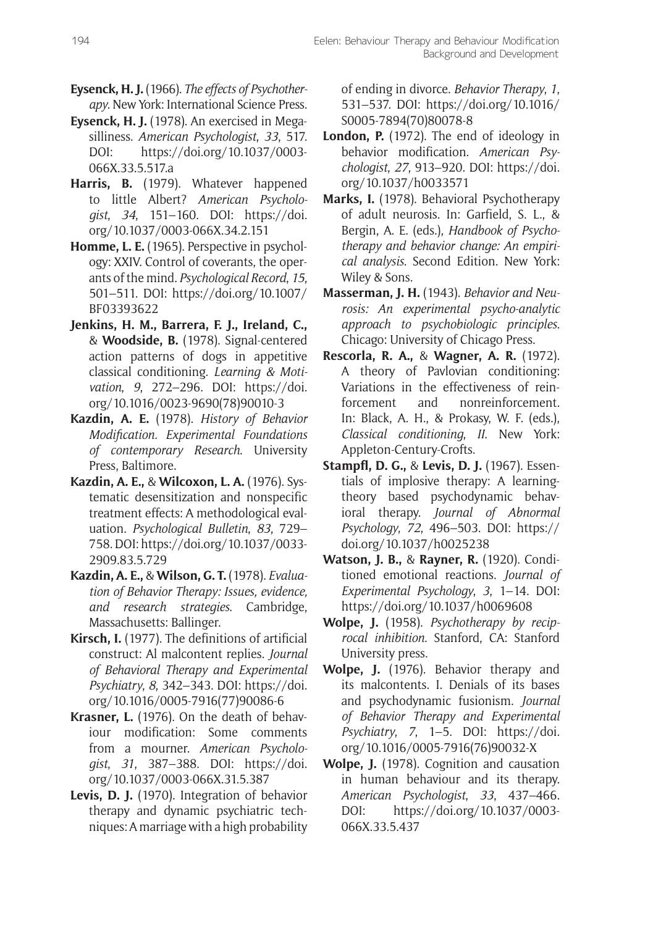- **Eysenck, H. J.** (1966). *The effects of Psychotherapy*. New York: International Science Press.
- **Eysenck, H. J.** (1978). An exercised in Megasilliness. *American Psychologist*, *33*, 517. DOI: [https://doi.org/10.1037/0003-](https://doi.org/10.1037/0003-066X.33.5.517.a) [066X.33.5.517.a](https://doi.org/10.1037/0003-066X.33.5.517.a)
- **Harris, B.** (1979). Whatever happened to little Albert? *American Psychologist*, *34*, 151–160. DOI: [https://doi.](https://doi.org/10.1037/0003-066X.34.2.151) [org/10.1037/0003-066X.34.2.151](https://doi.org/10.1037/0003-066X.34.2.151)
- **Homme, L. E.** (1965). Perspective in psychology: XXIV. Control of coverants, the operants of the mind. *Psychological Record*, *15*, 501–511. DOI: [https://doi.org/10.1007/](https://doi.org/10.1007/BF03393622) [BF03393622](https://doi.org/10.1007/BF03393622)
- **Jenkins, H. M., Barrera, F. J., Ireland, C.,** & **Woodside, B.** (1978). Signal-centered action patterns of dogs in appetitive classical conditioning. *Learning & Motivation*, *9*, 272–296. DOI: [https://doi.](https://doi.org/10.1016/0023-9690(78)90010-3) [org/10.1016/0023-9690\(78\)90010-3](https://doi.org/10.1016/0023-9690(78)90010-3)
- **Kazdin, A. E.** (1978). *History of Behavior Modification. Experimental Foundations of contemporary Research*. University Press, Baltimore.
- **Kazdin, A. E.,** & **Wilcoxon, L. A.** (1976). Systematic desensitization and nonspecific treatment effects: A methodological evaluation. *Psychological Bulletin*, *83*, 729– 758. DOI: [https://doi.org/10.1037/0033-](https://doi.org/10.1037/0033-2909.83.5.729) [2909.83.5.729](https://doi.org/10.1037/0033-2909.83.5.729)
- **Kazdin, A. E.,** & **Wilson, G. T.** (1978). *Evaluation of Behavior Therapy: Issues, evidence, and research strategies*. Cambridge, Massachusetts: Ballinger.
- **Kirsch, I.** (1977). The definitions of artificial construct: Al malcontent replies. *Journal of Behavioral Therapy and Experimental Psychiatry*, *8*, 342–343. DOI: [https://doi.](https://doi.org/10.1016/0005-7916(77)90086-6) [org/10.1016/0005-7916\(77\)90086-6](https://doi.org/10.1016/0005-7916(77)90086-6)
- **Krasner, L.** (1976). On the death of behaviour modification: Some comments from a mourner. *American Psychologist*, *31*, 387–388. DOI: [https://doi.](https://doi.org/10.1037/0003-066X.31.5.387) [org/10.1037/0003-066X.31.5.387](https://doi.org/10.1037/0003-066X.31.5.387)
- **Levis, D. J.** (1970). Integration of behavior therapy and dynamic psychiatric techniques: A marriage with a high probability

of ending in divorce. *Behavior Therapy*, *1*, 531–537. DOI: [https://doi.org/10.1016/](https://doi.org/10.1016/S0005-7894(70)80078-8) [S0005-7894\(70\)80078-8](https://doi.org/10.1016/S0005-7894(70)80078-8)

- **London, P.** (1972). The end of ideology in behavior modification. *American Psychologist*, *27*, 913–920. DOI: [https://doi.](https://doi.org/10.1037/h0033571) [org/10.1037/h0033571](https://doi.org/10.1037/h0033571)
- **Marks, I.** (1978). Behavioral Psychotherapy of adult neurosis. In: Garfield, S. L., & Bergin, A. E. (eds.), *Handbook of Psychotherapy and behavior change: An empirical analysis*. Second Edition. New York: Wiley & Sons.
- **Masserman, J. H.** (1943). *Behavior and Neurosis: An experimental psycho-analytic approach to psychobiologic principles*. Chicago: University of Chicago Press.
- **Rescorla, R. A.,** & **Wagner, A. R.** (1972). A theory of Pavlovian conditioning: Variations in the effectiveness of reinforcement and nonreinforcement. In: Black, A. H., & Prokasy, W. F. (eds.), *Classical conditioning*, *II*. New York: Appleton-Century-Crofts.
- **Stampfl, D. G.,** & **Levis, D. J.** (1967). Essentials of implosive therapy: A learningtheory based psychodynamic behavioral therapy. *Journal of Abnormal Psychology*, *72*, 496–503. DOI: [https://](https://doi.org/10.1037/h0025238) [doi.org/10.1037/h0025238](https://doi.org/10.1037/h0025238)
- **Watson, J. B.,** & **Rayner, R.** (1920). Conditioned emotional reactions. *Journal of Experimental Psychology*, *3*, 1–14. DOI: <https://doi.org/10.1037/h0069608>
- **Wolpe, J.** (1958). *Psychotherapy by reciprocal inhibition*. Stanford, CA: Stanford University press.
- **Wolpe, J.** (1976). Behavior therapy and its malcontents. I. Denials of its bases and psychodynamic fusionism. *Journal of Behavior Therapy and Experimental Psychiatry*, *7*, 1–5. DOI: [https://doi.](https://doi.org/10.1016/0005-7916(76)90032-X) [org/10.1016/0005-7916\(76\)90032-X](https://doi.org/10.1016/0005-7916(76)90032-X)
- **Wolpe, J.** (1978). Cognition and causation in human behaviour and its therapy. *American Psychologist*, *33*, 437–466. DOI: [https://doi.org/10.1037/0003-](https://doi.org/10.1037/0003-066X.33.5.437) [066X.33.5.437](https://doi.org/10.1037/0003-066X.33.5.437)